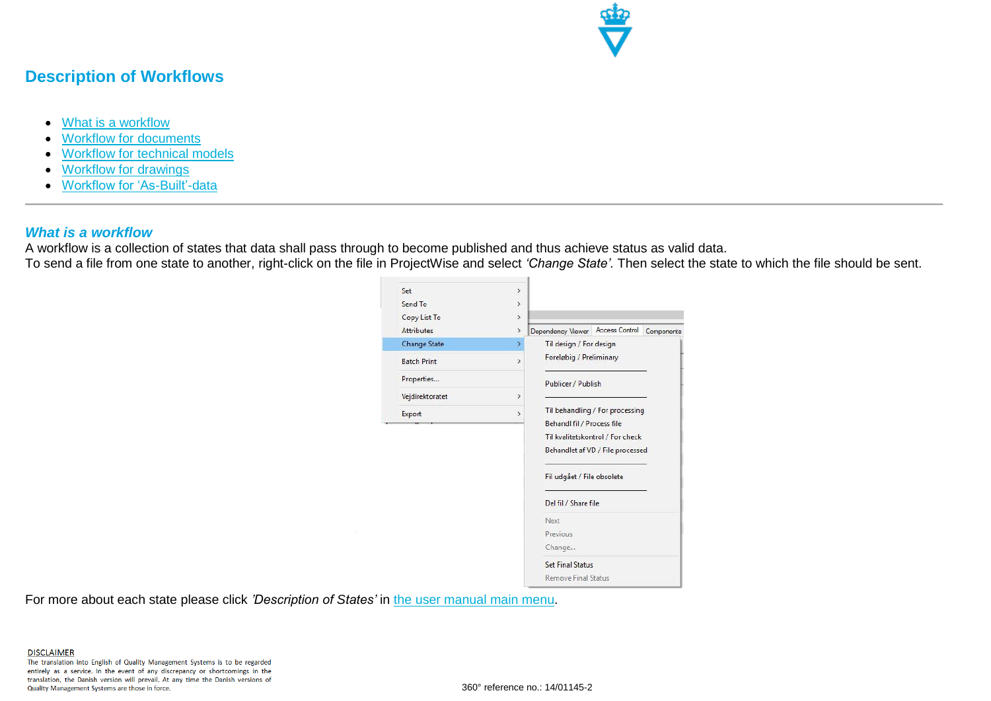

# **Description of Workflows**

- [What is a workflow](#page-0-0)
- [Workflow for documents](#page-1-0)
- [Workflow for techn](#page-5-0)ical models
- [Workflow for dra](#page-7-0)wings
- [Workflow for 'As-Built'-data](#page-9-0)

#### <span id="page-0-0"></span>*What is a workflow*

A workflow is a collection of states that data shall pass through to become published and thus achieve status as valid data. To send a file from one state to another, right-click on the file in ProjectWise and select *'Change State'.* Then select the state to which the file should be sent.

| Set                 | $\,$          |                                                                          |
|---------------------|---------------|--------------------------------------------------------------------------|
| Send To             | $\rightarrow$ |                                                                          |
| Copy List To        | $\rightarrow$ |                                                                          |
| <b>Attributes</b>   | $\,$          | Access Control<br>Dependency Viewer<br>Components                        |
| <b>Change State</b> | $\rightarrow$ | Til design / For design<br>Foreløbig / Preliminary<br>Publicer / Publish |
| <b>Batch Print</b>  | $\rightarrow$ |                                                                          |
| Properties          |               |                                                                          |
| Vejdirektoratet     | $\rightarrow$ |                                                                          |
| Export              | $\rightarrow$ | Til behandling / For processing                                          |
|                     |               | Behandl fil / Process file                                               |
|                     |               | Til kvalitetskontrol / For check                                         |
|                     |               | Behandlet af VD / File processed                                         |
|                     |               | Fil udgået / File obsolete                                               |
|                     |               | Del fil / Share file                                                     |
|                     |               | Next                                                                     |
|                     |               | Previous                                                                 |
|                     |               | Change                                                                   |
|                     |               | <b>Set Final Status</b>                                                  |
|                     |               | Remove Final Status                                                      |

For more about each state please click *'Description of States'* in [the user manual main menu.](http://www.vejdirektoratet.dk/EN/roadsector/supplierportal/QualityManagementSystem/Road%20and%20traffic%20systems/Data,%20drawings%20and%20tools/ProjectWise/Pages/User-manual.aspx)

The translation into English of Quality Management Systems is to be regarded entirely as a service. In the event of any discrepancy or shortcomings in the translation, the Danish version will prevail. At any time the Danish versions of Quality Management Systems are those in force.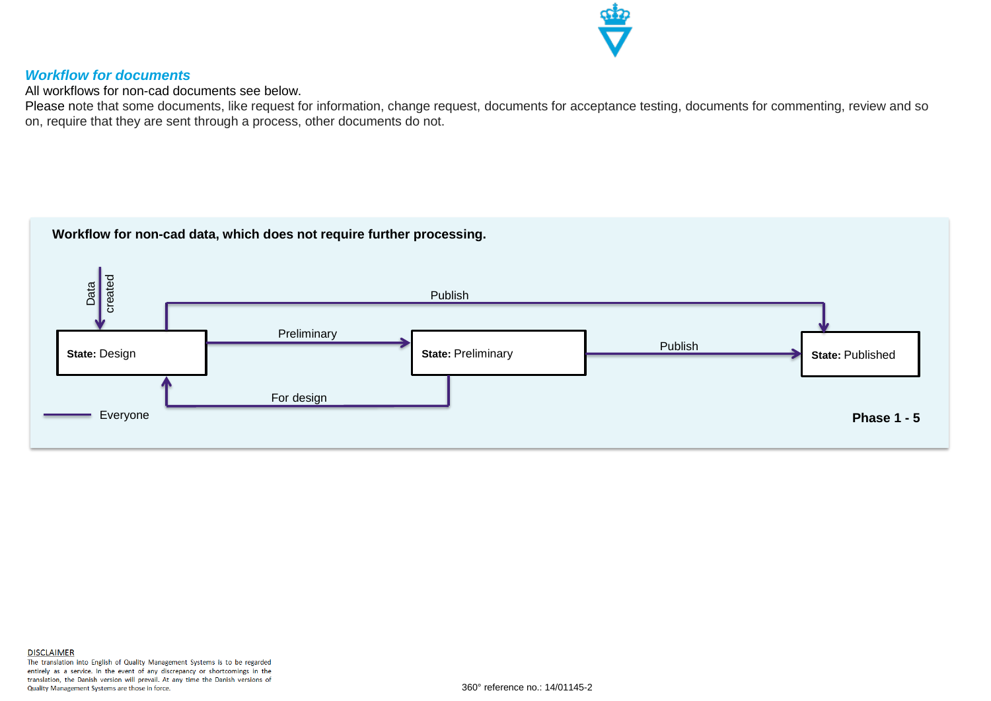

# <span id="page-1-0"></span>*Workflow for documents*

All workflows for non-cad documents see below.

Please note that some documents, like request for information, change request, documents for acceptance testing, documents for commenting, review and so on, require that they are sent through a process, other documents do not.

# **Workflow for non-cad data, which does not require further processing.**

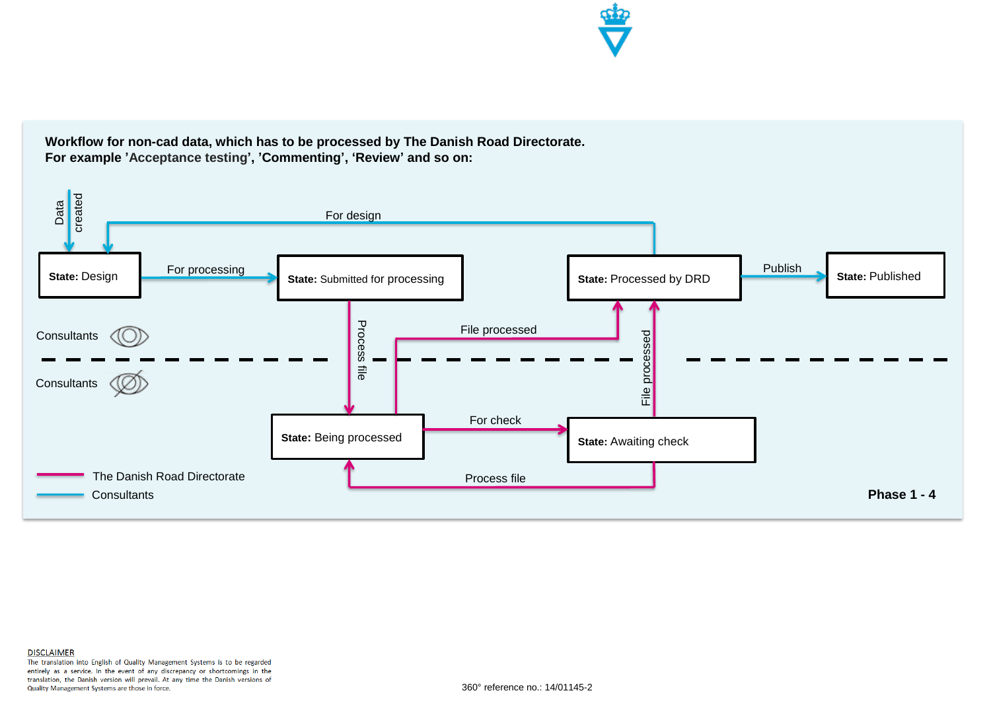

**Workflow for non-cad data, which has to be processed by The Danish Road Directorate. For example 'Acceptance testing', 'Commenting', 'Review' and so on:**

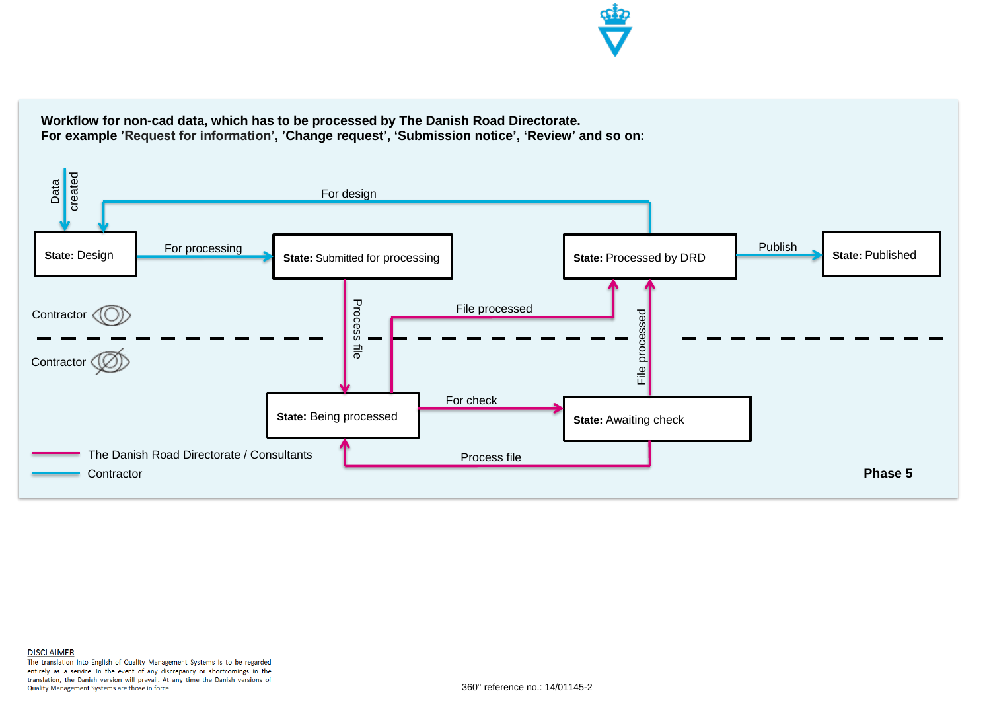

**Workflow for non-cad data, which has to be processed by The Danish Road Directorate. For example 'Request for information', 'Change request', 'Submission notice', 'Review' and so on:**

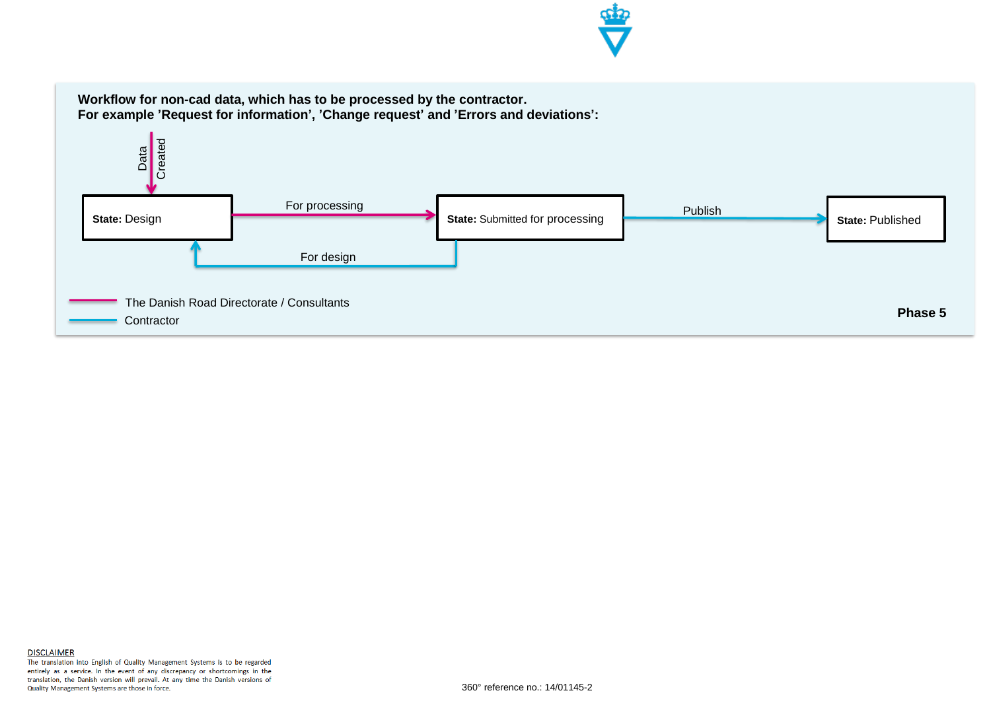

**Workflow for non-cad data, which has to be processed by the contractor. For example 'Request for information', 'Change request' and 'Errors and deviations':**

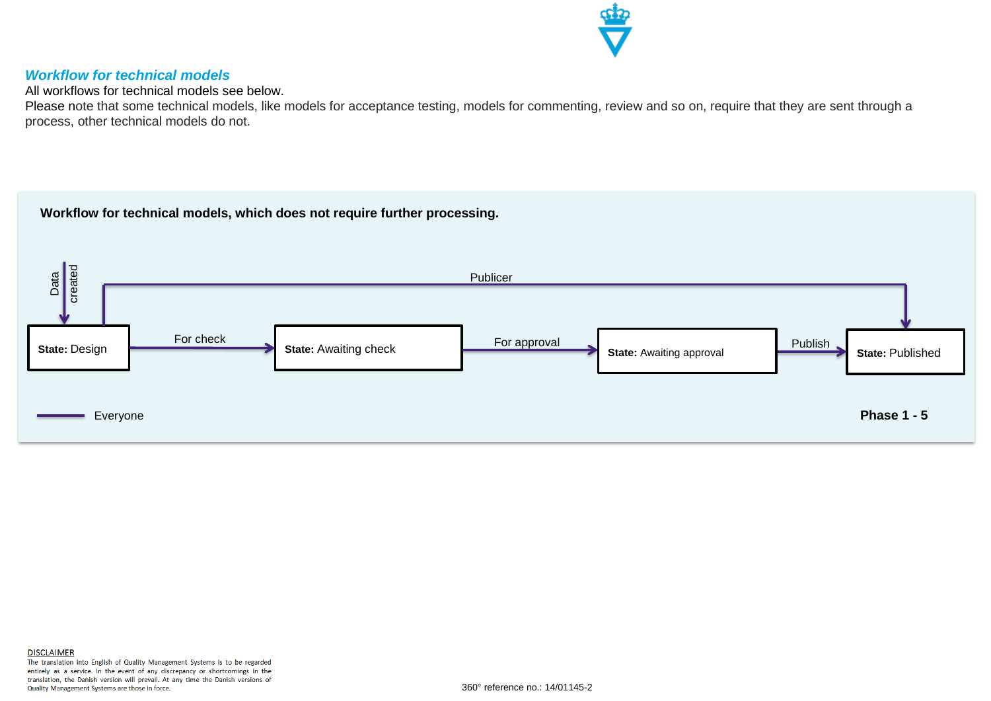

### <span id="page-5-0"></span>*Workflow for technical models*

All workflows for technical models see below.

Please note that some technical models, like models for acceptance testing, models for commenting, review and so on, require that they are sent through a process, other technical models do not.

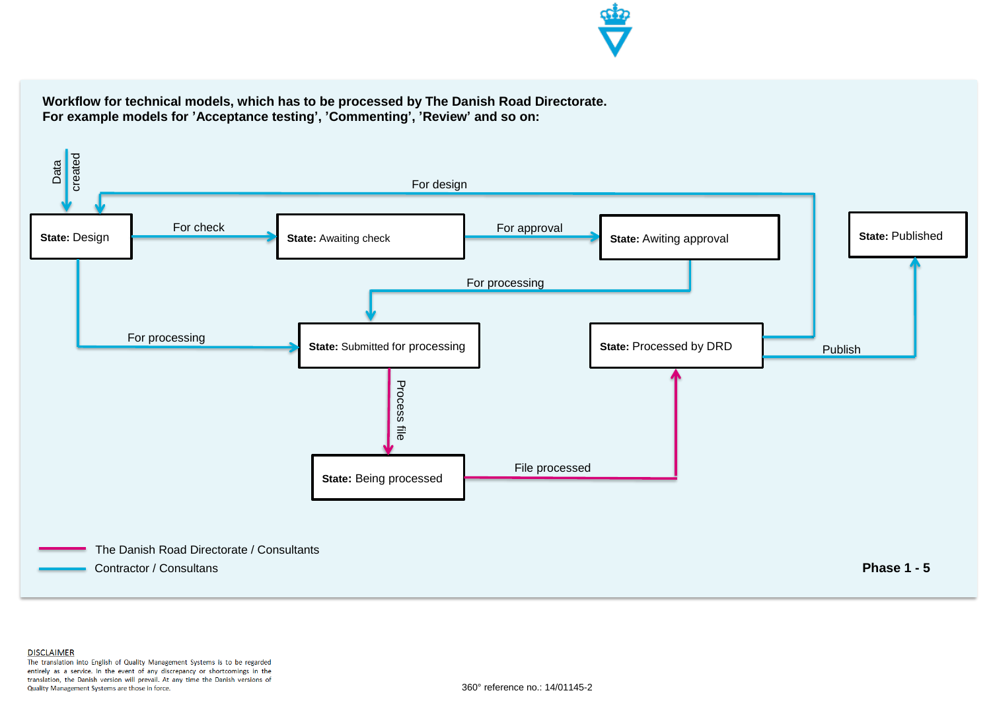

**Workflow for technical models, which has to be processed by The Danish Road Directorate. For example models for 'Acceptance testing', 'Commenting', 'Review' and so on:**



**DISCLAIMER** The translation into English of Quality Management Systems is to be regarded entirely as a service. In the event of any discrepancy or shortcomings in the translation, the Danish version will prevail. At any time the Danish versions of Quality Management Systems are those in force.

360° reference no.: 14/01145-2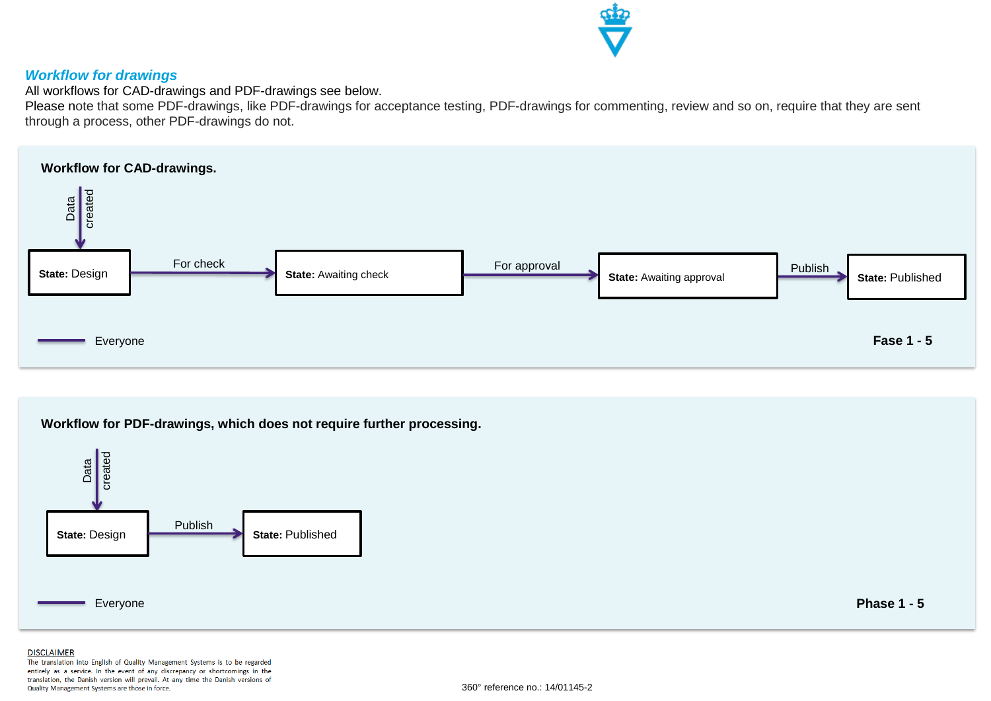

#### <span id="page-7-0"></span>*Workflow for drawings*

All workflows for CAD-drawings and PDF-drawings see below.

Please note that some PDF-drawings, like PDF-drawings for acceptance testing, PDF-drawings for commenting, review and so on, require that they are sent through a process, other PDF-drawings do not.



**Workflow for PDF-drawings, which does not require further processing.**



**Phase 1 - 5**

#### **DISCLAIMER**

The translation into English of Quality Management Systems is to be regarded entirely as a service. In the event of any discrepancy or shortcomings in the translation, the Danish version will prevail. At any time the Danish versions of Quality Management Systems are those in force.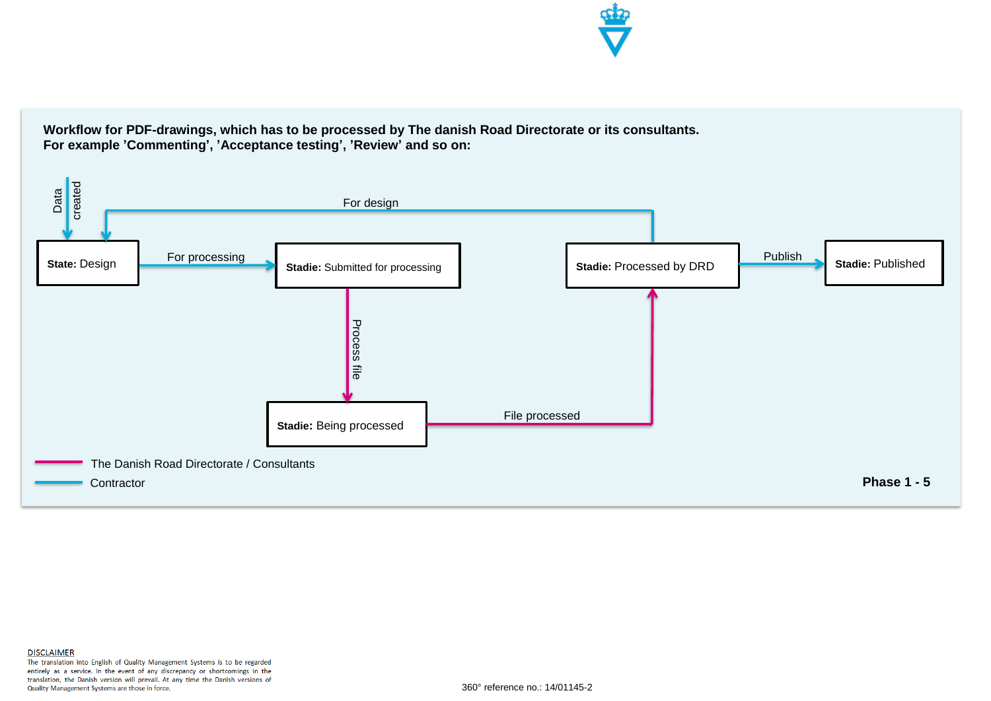

**Workflow for PDF-drawings, which has to be processed by The danish Road Directorate or its consultants. For example 'Commenting', 'Acceptance testing', 'Review' and so on:**